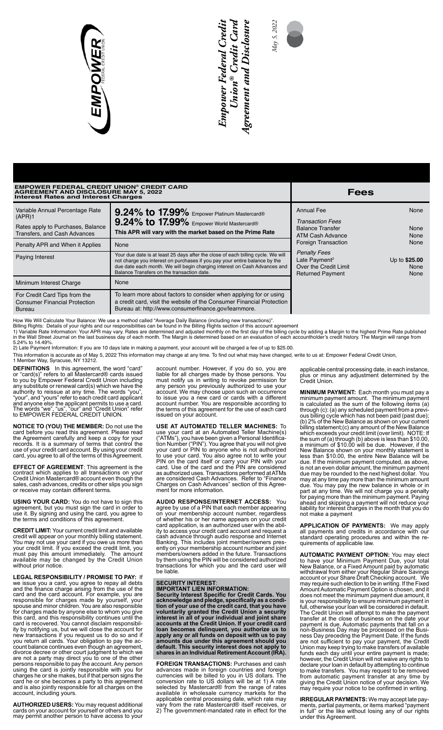

# *Empower Federal Credit ® Credit Card Agreement and Disclosure*  Empower Federal Credii<br>Union® Credit Cara **Agreement and Disclosure**



# **EMPOWER FEDERAL CREDIT UNION® CREDIT CARD AGREEMENT AND DISCLOSURE MAY 5, 2022 Interest Rates and Interest Charges Fees**

| <b>Interest Rates and Interest Charges</b>                                                                     |                                                                                                                                                                                                                                                                                           |                                                                                                      |                               |
|----------------------------------------------------------------------------------------------------------------|-------------------------------------------------------------------------------------------------------------------------------------------------------------------------------------------------------------------------------------------------------------------------------------------|------------------------------------------------------------------------------------------------------|-------------------------------|
| Variable Annual Percentage Rate<br>(APR)1<br>Rates apply to Purchases, Balance<br>Transfers, and Cash Advances | 9.24% to 17.99% Empower Platinum Mastercard®<br>9.24% to 17.99% Empower World Mastercard®<br>This APR will vary with the market based on the Prime Rate                                                                                                                                   | <b>Annual Fee</b><br><b>Transaction Fees</b><br><b>Balance Transfer</b><br>ATM Cash Advance          | None<br>None<br>None          |
| Penalty APR and When it Applies                                                                                | None                                                                                                                                                                                                                                                                                      | <b>Foreign Transaction</b>                                                                           | None                          |
| Paying Interest                                                                                                | Your due date is at least 25 days after the close of each billing cycle. We will<br>not charge you interest on purchases if you pay your entire balance by the<br>due date each month. We will begin charging interest on Cash Advances and<br>Balance Transfers on the transaction date. | <b>Penalty Fees</b><br>Late Payment <sup>2</sup><br>Over the Credit Limit<br><b>Returned Payment</b> | Up to \$25.00<br>None<br>None |
| Minimum Interest Charge                                                                                        | None                                                                                                                                                                                                                                                                                      |                                                                                                      |                               |
| For Credit Card Tips from the<br><b>Consumer Financial Protection</b><br>Bureau                                | To learn more about factors to consider when applying for or using<br>a credit card, visit the website of the Consumer Financial Protection<br>Bureau at: http://www.consumerfinance.gov/learnmore.                                                                                       |                                                                                                      |                               |

How We Will Calculate Your Balance: We use a method called "Average Daily Balance (including new transactions)".<br>Billing Rights: Details of your rights and our responsibilities can be found in the Billing Rights section of

5.24% to 14.49%. 2) Late Payment Information: If you are 10 days late in making a payment, your account will be charged a fee of up to \$25.00.

This information is accurate as of May 5, 2022 This information may change at any time. To find out what may have changed, write to us at: Empower Federal Credit Union, 1 Member Way, Syracuse, NY 13212.

**DEFINITIONS** In this agreement, the word "card" or "card(s)" refers to all Mastercard® cards issued to you by Empower Federal Credit Union including any substitute or renewal card(s) which we have the authority to reissue at any time. The words "you", "your", and "yours" refer to each credit card applicant and anyone else the applicant permits to use a card. The words "we", "us", "our" and "Credit Union" refer to EMPOWER FEDERAL CREDIT UNION.

**NOTICE TO (YOU) THE MEMBER:** Do not use the card before you read this agreement. Please read the Agreement carefully and keep a copy for your records. It is a summary of terms that control the use of your credit card account. By using your credit card, you agree to all of the terms of this Agreement.

**EFFECT OF AGREEMENT**: This agreement is the contract which applies to all transactions on your Credit Union Mastercard® account even though the sales, cash advances, credits or other slips you sign or receive may contain different terms.

**USING YOUR CARD:** You do not have to sign this agreement, but you must sign the card in order to use it. By signing and using the card, you agree to the terms and conditions of this agreement.

**CREDIT LIMIT:** Your current credit limit and available credit will appear on your monthly billing statement. You may not use your card if you owe us more than your credit limit. If you exceed the credit limit, you must pay this amount immediately. The amount available may be changed by the Credit Union without prior notice.

**LEGAL RESPONSIBILITY / PROMISE TO PAY:** If we issue you a card, you agree to repay all debts and the finance charge arising from the use of the card and the card account. For example, you are responsible for charges made by yourself, your spouse and minor children. You are also responsible for charges made by anyone else to whom you give this card, and this responsibility continues until the card is recovered. You cannot disclaim responsibility by notifying us, but we will close the account for new transactions if you request us to do so and if you return all cards. Your obligation to pay the account balance continues even though an agreement, divorce decree or other court judgment to which we are not a party may direct you to one of the other persons responsible to pay the account. Any person using the card is jointly responsible with you for charges he or she makes, but if that person signs the card he or she becomes a party to this agreement and is also jointly responsible for all charges on the account, including yours.

**AUTHORIZED USERS:** You may request additional cards on your account for yourself or others and you may permit another person to have access to your account number. However, if you do so, you are liable for all charges made by those persons. You must notify us in writing to revoke permission for any person you previously authorized to use your account. We may choose upon such an occurrence to issue you a new card or cards with a different account number. You are responsible according to the terms of this agreement for the use of each card issued on your account.

 **USE AT AUTOMATED TELLER MACHINES:** To use your card at an Automated Teller Machine(s) ("ATMs"), you have been given a Personal Identification Number ("PIN"). You agree that you will not give your card or PIN to anyone who is not authorized to use your card. You also agree not to write your PIN on the card itself or carry your PIN with your card. Use of the card and the PIN are considered as authorized uses. Transactions performed at ATMs are considered Cash Advances. Refer to "Finance Charges on Cash Advances" section of this Agreement for more information.

**AUDIO RESPONSE/INTERNET ACCESS:** You agree by use of a PIN that each member appearing on your membership account number, regardless of whether his or her name appears on your credit card application, is an authorized user with the ability to access your credit card account and request a cash advance through audio response and Internet Banking. This includes joint member/owners pres-ently on your membership account number and joint members/owners added in the future. Transactions by them using the PIN will be considered authorized transactions for which you and the card user will be liable.

## **SECURITY INTEREST**:

**IMPORTANT LIEN INFORMATION: Security Interest Specific for Credit Cards. You acknowledge and pledge, specifically as a condition of your use of the credit card, that you have voluntarily granted the Credit Union a security interest in all of your individual and joint share accounts at the Credit Union. If your credit card loan becomes delinquent, you authorize us to apply any or all funds on deposit with us to pay amounts due under this agreement should you default. This security interest does not apply to shares in an Individual Retirement Account (IRA).** 

**FOREIGN TRANSACTIONS:** Purchases and cash advances made in foreign countries and foreign currencies will be billed to you in US dollars. The conversion rate to US dollars will be at 1) A rate selected by Mastercard® from the range of rates available in wholesale currency markets for the applicable central processing date, which rate may vary from the rate Mastercard® itself receives, or 2) The government-mandated rate in effect for the applicable central processing date, in each instance, plus or minus any adjustment determined by the Credit Union.

**MINIMUM PAYMENT:** Each month you must pay a minimum payment amount. The minimum payment is calculated as the sum of the following items (a) through (c): (a) any scheduled payment from a previous billing cycle which has not been paid (past due); (b) 2% of the New Balance as shown on your current billing statement;(c) any amount of the New Balance which exceeds your credit limit (over limit). NOTE: If the sum of (a) through (b) above is less than \$10.00, a minimum of \$10.00 will be due. However, if the New Balance shown on your monthly statement is less than \$10.00, the entire New Balance will be due. If the minimum payment computed, as above, is not an even dollar amount, the minimum payment due may be rounded to the next highest dollar. You may at any time pay more than the minimum amount due. You may pay the new balance in whole or in part at any time. We will not charge you a penalty for paying more than the minimum payment. Paying ahead and skipping a payment will not reduce your liability for interest charges in the month that you do not make a payment

**APPLICATION OF PAYMENTS:** We may apply all payments and credits in accordance with our standard operating procedures and within the re-quirements of applicable law.

**AUTOMATIC PAYMENT OPTION:** You may elect to have your Minimum Payment Due, your total New Balance, or a Fixed Amount paid by automatic withdrawal from either your Regular Share Savings account or your Share Draft Checking account. We may require such election to be in writing. If the Fixed Amount Automatic Payment Option is chosen, and it does not meet the minimum payment due amount, it is your responsibility to ensure minimum payment in full, otherwise your loan will be considered in default. The Credit Union will attempt to make the payment transfer at the close of business on the date your payment is due. Automatic payments that fall on a non-Business Day may be processed on the Business Day preceding the Payment Date. If the funds are not sufficient to pay your payment, the Credit Union may keep trying to make transfers of available funds each day until your entire payment is made; however, the Credit Union will not waive any rights to declare your loan in default by attempting to continue to make transfers. You may request to be removed from automatic payment transfer at any time by giving the Credit Union notice of your decision. We may require your notice to be confirmed in writing.

**IRREGULAR PAYMENTS:** We may accept late payments, partial payments, or items marked "payment in full" or the like without losing any of our rights under this Agreement.